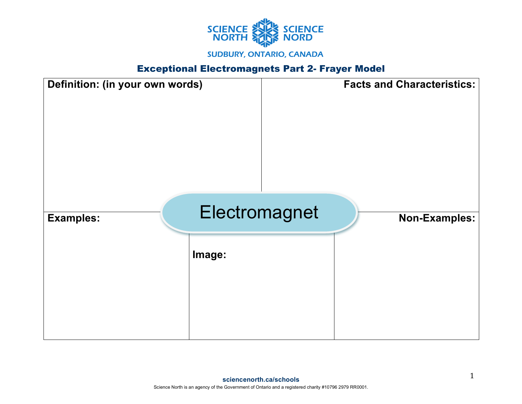

## Exceptional Electromagnets Part 2- Frayer Model